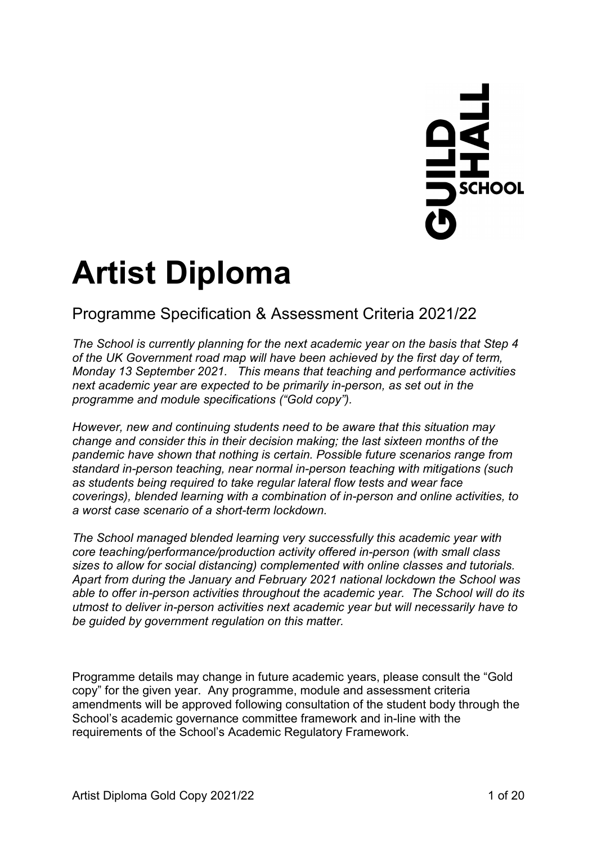# $\frac{1}{2}$ SCHOOL

# **Artist Diploma**

# Programme Specification & Assessment Criteria 2021/22

*The School is currently planning for the next academic year on the basis that Step 4 of the UK Government road map will have been achieved by the first day of term, Monday 13 September 2021. This means that teaching and performance activities next academic year are expected to be primarily in-person, as set out in the programme and module specifications ("Gold copy").*

*However, new and continuing students need to be aware that this situation may change and consider this in their decision making; the last sixteen months of the pandemic have shown that nothing is certain. Possible future scenarios range from standard in-person teaching, near normal in-person teaching with mitigations (such as students being required to take regular lateral flow tests and wear face coverings), blended learning with a combination of in-person and online activities, to a worst case scenario of a short-term lockdown.* 

*The School managed blended learning very successfully this academic year with core teaching/performance/production activity offered in-person (with small class sizes to allow for social distancing) complemented with online classes and tutorials. Apart from during the January and February 2021 national lockdown the School was able to offer in-person activities throughout the academic year. The School will do its utmost to deliver in-person activities next academic year but will necessarily have to be guided by government regulation on this matter.* 

Programme details may change in future academic years, please consult the "Gold copy" for the given year. Any programme, module and assessment criteria amendments will be approved following consultation of the student body through the School's academic governance committee framework and in-line with the requirements of the School's Academic Regulatory Framework.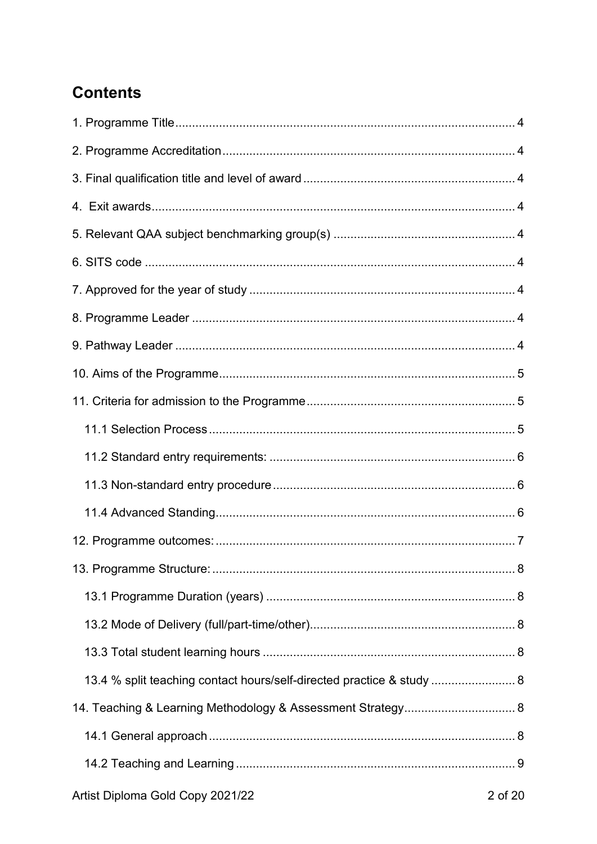# **Contents**

| 13.4 % split teaching contact hours/self-directed practice & study  8 |  |
|-----------------------------------------------------------------------|--|
| 14. Teaching & Learning Methodology & Assessment Strategy 8           |  |
|                                                                       |  |
|                                                                       |  |
|                                                                       |  |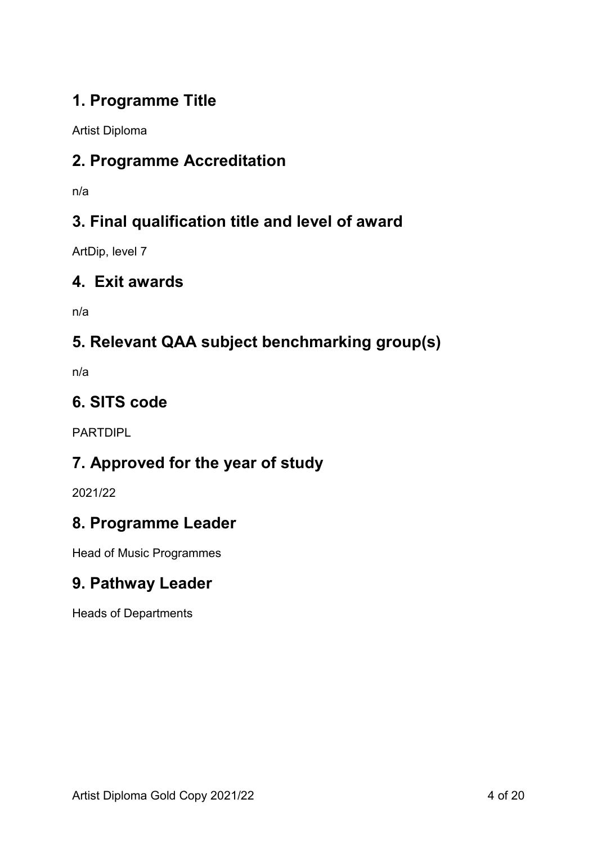# <span id="page-3-0"></span>**1. Programme Title**

Artist Diploma

# <span id="page-3-1"></span>**2. Programme Accreditation**

n/a

# <span id="page-3-2"></span>**3. Final qualification title and level of award**

ArtDip, level 7

# <span id="page-3-3"></span>**4. Exit awards**

n/a

# <span id="page-3-4"></span>**5. Relevant QAA subject benchmarking group(s)**

n/a

# <span id="page-3-5"></span>**6. SITS code**

PARTDIPL

# <span id="page-3-6"></span>**7. Approved for the year of study**

2021/22

# <span id="page-3-7"></span>**8. Programme Leader**

Head of Music Programmes

# <span id="page-3-8"></span>**9. Pathway Leader**

Heads of Departments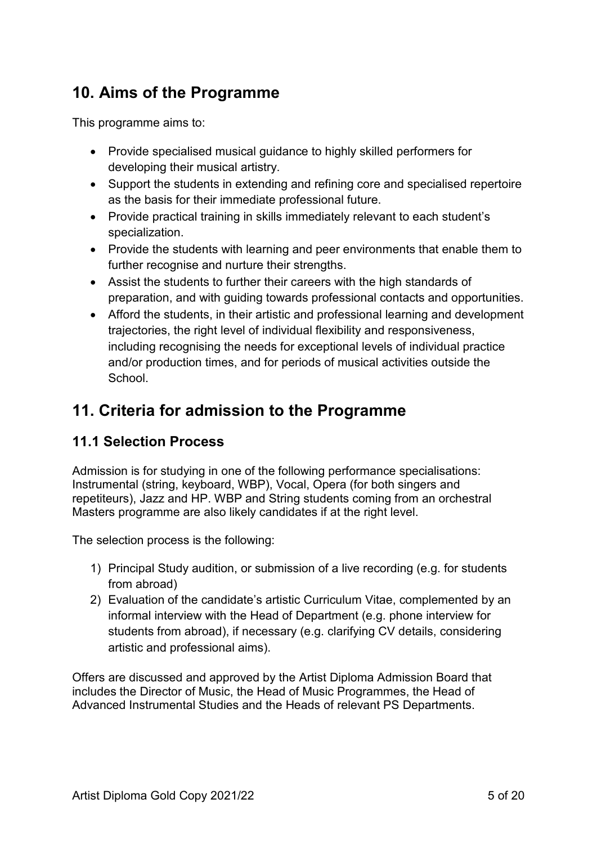# <span id="page-4-0"></span>**10. Aims of the Programme**

This programme aims to:

- Provide specialised musical guidance to highly skilled performers for developing their musical artistry.
- Support the students in extending and refining core and specialised repertoire as the basis for their immediate professional future.
- Provide practical training in skills immediately relevant to each student's specialization.
- Provide the students with learning and peer environments that enable them to further recognise and nurture their strengths.
- Assist the students to further their careers with the high standards of preparation, and with guiding towards professional contacts and opportunities.
- Afford the students, in their artistic and professional learning and development trajectories, the right level of individual flexibility and responsiveness, including recognising the needs for exceptional levels of individual practice and/or production times, and for periods of musical activities outside the **School**

# <span id="page-4-1"></span>**11. Criteria for admission to the Programme**

# <span id="page-4-2"></span>**11.1 Selection Process**

Admission is for studying in one of the following performance specialisations: Instrumental (string, keyboard, WBP), Vocal, Opera (for both singers and repetiteurs), Jazz and HP. WBP and String students coming from an orchestral Masters programme are also likely candidates if at the right level.

The selection process is the following:

- 1) Principal Study audition, or submission of a live recording (e.g. for students from abroad)
- 2) Evaluation of the candidate's artistic Curriculum Vitae, complemented by an informal interview with the Head of Department (e.g. phone interview for students from abroad), if necessary (e.g. clarifying CV details, considering artistic and professional aims).

Offers are discussed and approved by the Artist Diploma Admission Board that includes the Director of Music, the Head of Music Programmes, the Head of Advanced Instrumental Studies and the Heads of relevant PS Departments.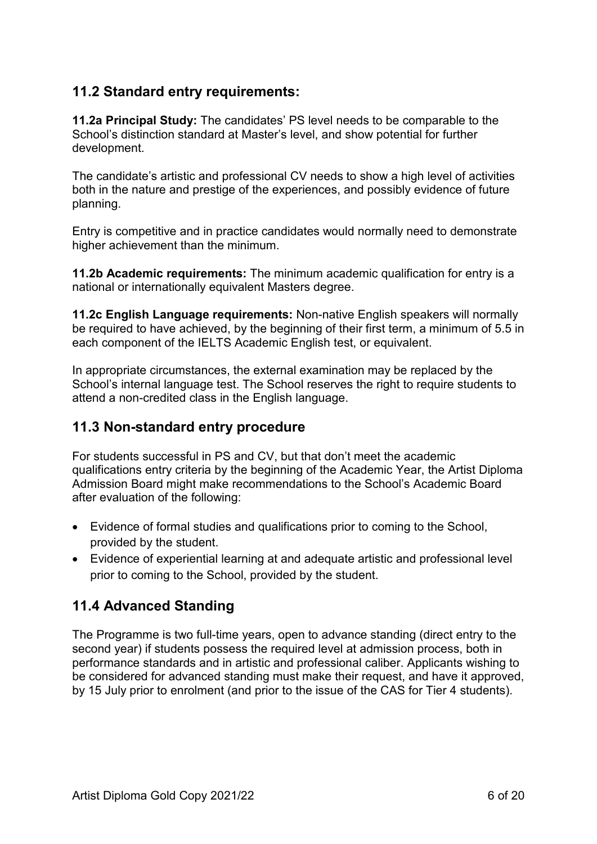# <span id="page-5-0"></span>**11.2 Standard entry requirements:**

**11.2a Principal Study:** The candidates' PS level needs to be comparable to the School's distinction standard at Master's level, and show potential for further development.

The candidate's artistic and professional CV needs to show a high level of activities both in the nature and prestige of the experiences, and possibly evidence of future planning.

Entry is competitive and in practice candidates would normally need to demonstrate higher achievement than the minimum.

**11.2b Academic requirements:** The minimum academic qualification for entry is a national or internationally equivalent Masters degree.

**11.2c English Language requirements:** Non-native English speakers will normally be required to have achieved, by the beginning of their first term, a minimum of 5.5 in each component of the IELTS Academic English test, or equivalent.

In appropriate circumstances, the external examination may be replaced by the School's internal language test. The School reserves the right to require students to attend a non-credited class in the English language.

# <span id="page-5-1"></span>**11.3 Non-standard entry procedure**

For students successful in PS and CV, but that don't meet the academic qualifications entry criteria by the beginning of the Academic Year, the Artist Diploma Admission Board might make recommendations to the School's Academic Board after evaluation of the following:

- Evidence of formal studies and qualifications prior to coming to the School, provided by the student.
- Evidence of experiential learning at and adequate artistic and professional level prior to coming to the School, provided by the student.

# <span id="page-5-2"></span>**11.4 Advanced Standing**

The Programme is two full-time years, open to advance standing (direct entry to the second year) if students possess the required level at admission process, both in performance standards and in artistic and professional caliber. Applicants wishing to be considered for advanced standing must make their request, and have it approved, by 15 July prior to enrolment (and prior to the issue of the CAS for Tier 4 students).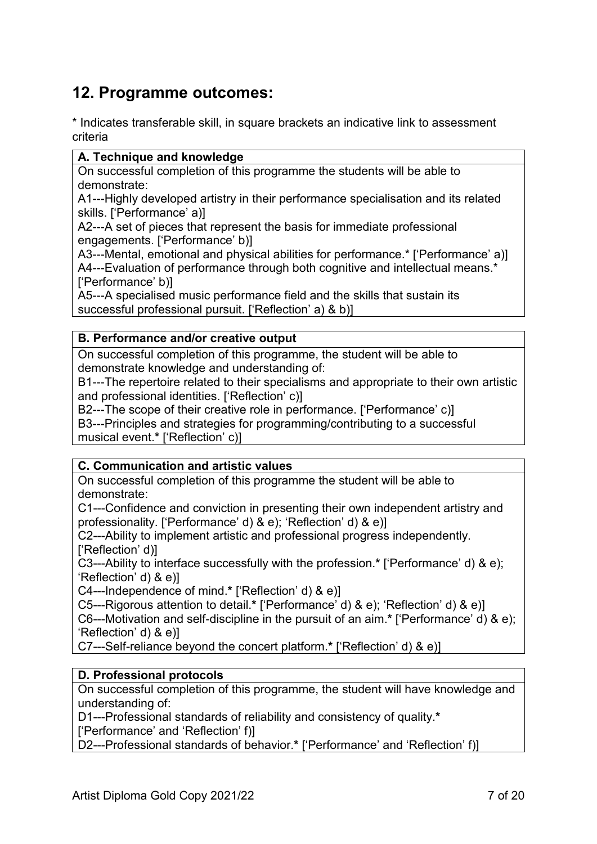# <span id="page-6-0"></span>**12. Programme outcomes:**

\* Indicates transferable skill, in square brackets an indicative link to assessment criteria

#### **A. Technique and knowledge**

On successful completion of this programme the students will be able to demonstrate:

A1---Highly developed artistry in their performance specialisation and its related skills. ['Performance' a)]

A2---A set of pieces that represent the basis for immediate professional engagements. ['Performance' b)]

A3---Mental, emotional and physical abilities for performance.\* ['Performance' a)] A4---Evaluation of performance through both cognitive and intellectual means.\* ['Performance' b)]

A5---A specialised music performance field and the skills that sustain its successful professional pursuit. ['Reflection' a) & b)]

#### **B. Performance and/or creative output**

On successful completion of this programme, the student will be able to demonstrate knowledge and understanding of:

B1---The repertoire related to their specialisms and appropriate to their own artistic and professional identities. ['Reflection' c)]

B2---The scope of their creative role in performance. ['Performance' c)] B3---Principles and strategies for programming/contributing to a successful

musical event.**\*** ['Reflection' c)]

#### **C. Communication and artistic values**

On successful completion of this programme the student will be able to demonstrate:

C1---Confidence and conviction in presenting their own independent artistry and professionality. ['Performance' d) & e); 'Reflection' d) & e)]

C2---Ability to implement artistic and professional progress independently. ['Reflection' d)]

C3---Ability to interface successfully with the profession.**\*** ['Performance' d) & e); 'Reflection' d) & e)]

C4---Independence of mind.**\*** ['Reflection' d) & e)]

C5---Rigorous attention to detail.**\*** ['Performance' d) & e); 'Reflection' d) & e)]

C6---Motivation and self-discipline in the pursuit of an aim.**\*** ['Performance' d) & e); 'Reflection' d) & e)]

C7---Self-reliance beyond the concert platform.**\*** ['Reflection' d) & e)]

#### **D. Professional protocols**

On successful completion of this programme, the student will have knowledge and understanding of:

D1---Professional standards of reliability and consistency of quality.**\***

['Performance' and 'Reflection' f)]

D2---Professional standards of behavior.**\*** ['Performance' and 'Reflection' f)]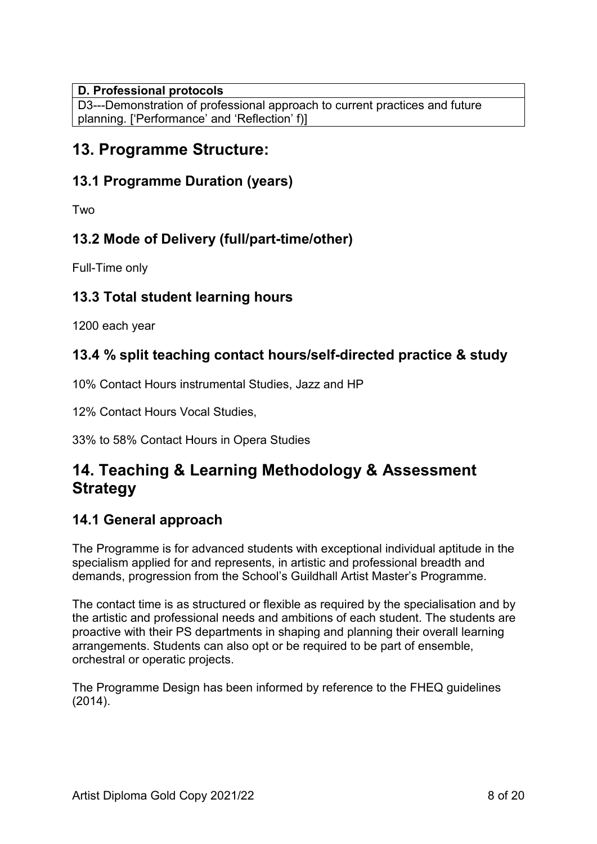#### **D. Professional protocols**

D3---Demonstration of professional approach to current practices and future planning. ['Performance' and 'Reflection' f)]

# <span id="page-7-0"></span>**13. Programme Structure:**

# <span id="page-7-1"></span>**13.1 Programme Duration (years)**

Two

# <span id="page-7-2"></span>**13.2 Mode of Delivery (full/part-time/other)**

Full-Time only

# <span id="page-7-3"></span>**13.3 Total student learning hours**

1200 each year

# <span id="page-7-4"></span>**13.4 % split teaching contact hours/self-directed practice & study**

10% Contact Hours instrumental Studies, Jazz and HP

12% Contact Hours Vocal Studies,

33% to 58% Contact Hours in Opera Studies

# <span id="page-7-5"></span>**14. Teaching & Learning Methodology & Assessment Strategy**

# <span id="page-7-6"></span>**14.1 General approach**

The Programme is for advanced students with exceptional individual aptitude in the specialism applied for and represents, in artistic and professional breadth and demands, progression from the School's Guildhall Artist Master's Programme.

The contact time is as structured or flexible as required by the specialisation and by the artistic and professional needs and ambitions of each student. The students are proactive with their PS departments in shaping and planning their overall learning arrangements. Students can also opt or be required to be part of ensemble, orchestral or operatic projects.

The Programme Design has been informed by reference to the FHEQ guidelines (2014).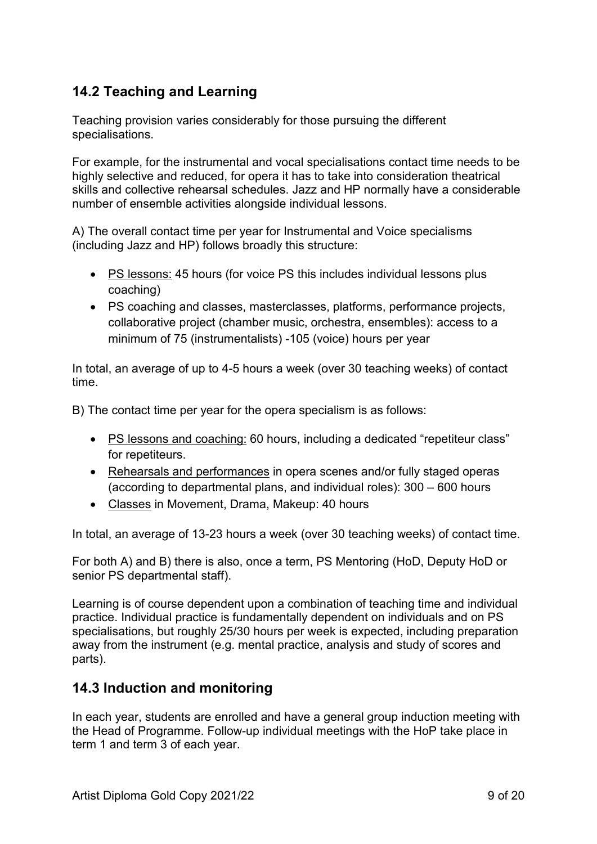# <span id="page-8-0"></span>**14.2 Teaching and Learning**

Teaching provision varies considerably for those pursuing the different specialisations.

For example, for the instrumental and vocal specialisations contact time needs to be highly selective and reduced, for opera it has to take into consideration theatrical skills and collective rehearsal schedules. Jazz and HP normally have a considerable number of ensemble activities alongside individual lessons.

A) The overall contact time per year for Instrumental and Voice specialisms (including Jazz and HP) follows broadly this structure:

- PS lessons: 45 hours (for voice PS this includes individual lessons plus coaching)
- PS coaching and classes, masterclasses, platforms, performance projects, collaborative project (chamber music, orchestra, ensembles): access to a minimum of 75 (instrumentalists) -105 (voice) hours per year

In total, an average of up to 4-5 hours a week (over 30 teaching weeks) of contact time.

B) The contact time per year for the opera specialism is as follows:

- PS lessons and coaching: 60 hours, including a dedicated "repetiteur class" for repetiteurs.
- Rehearsals and performances in opera scenes and/or fully staged operas (according to departmental plans, and individual roles): 300 – 600 hours
- Classes in Movement, Drama, Makeup: 40 hours

In total, an average of 13-23 hours a week (over 30 teaching weeks) of contact time.

For both A) and B) there is also, once a term, PS Mentoring (HoD, Deputy HoD or senior PS departmental staff).

Learning is of course dependent upon a combination of teaching time and individual practice. Individual practice is fundamentally dependent on individuals and on PS specialisations, but roughly 25/30 hours per week is expected, including preparation away from the instrument (e.g. mental practice, analysis and study of scores and parts).

# <span id="page-8-1"></span>**14.3 Induction and monitoring**

In each year, students are enrolled and have a general group induction meeting with the Head of Programme. Follow-up individual meetings with the HoP take place in term 1 and term 3 of each year.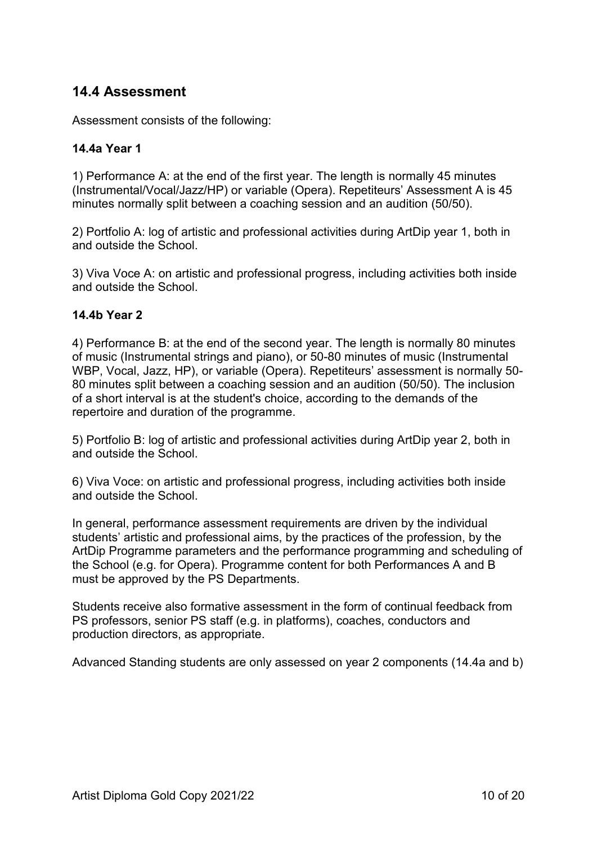# <span id="page-9-0"></span>**14.4 Assessment**

Assessment consists of the following:

#### **14.4a Year 1**

1) Performance A: at the end of the first year. The length is normally 45 minutes (Instrumental/Vocal/Jazz/HP) or variable (Opera). Repetiteurs' Assessment A is 45 minutes normally split between a coaching session and an audition (50/50).

2) Portfolio A: log of artistic and professional activities during ArtDip year 1, both in and outside the School.

3) Viva Voce A: on artistic and professional progress, including activities both inside and outside the School.

#### **14.4b Year 2**

4) Performance B: at the end of the second year. The length is normally 80 minutes of music (Instrumental strings and piano), or 50-80 minutes of music (Instrumental WBP, Vocal, Jazz, HP), or variable (Opera). Repetiteurs' assessment is normally 50- 80 minutes split between a coaching session and an audition (50/50). The inclusion of a short interval is at the student's choice, according to the demands of the repertoire and duration of the programme.

5) Portfolio B: log of artistic and professional activities during ArtDip year 2, both in and outside the School.

6) Viva Voce: on artistic and professional progress, including activities both inside and outside the School.

In general, performance assessment requirements are driven by the individual students' artistic and professional aims, by the practices of the profession, by the ArtDip Programme parameters and the performance programming and scheduling of the School (e.g. for Opera). Programme content for both Performances A and B must be approved by the PS Departments.

Students receive also formative assessment in the form of continual feedback from PS professors, senior PS staff (e.g. in platforms), coaches, conductors and production directors, as appropriate.

Advanced Standing students are only assessed on year 2 components (14.4a and b)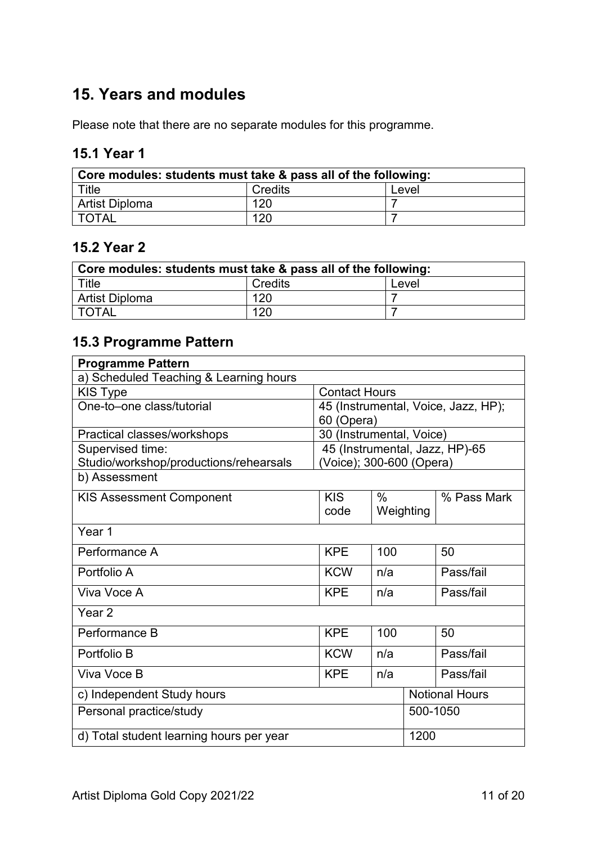# <span id="page-10-0"></span>**15. Years and modules**

Please note that there are no separate modules for this programme.

# <span id="page-10-1"></span>**15.1 Year 1**

| Core modules: students must take & pass all of the following: |                |       |  |  |  |
|---------------------------------------------------------------|----------------|-------|--|--|--|
| Title                                                         | <b>Credits</b> | Level |  |  |  |
| Artist Diploma                                                | 120            |       |  |  |  |
| <b>TOTAL</b>                                                  | 120            |       |  |  |  |

#### <span id="page-10-2"></span>**15.2 Year 2**

| Core modules: students must take & pass all of the following: |         |       |  |  |
|---------------------------------------------------------------|---------|-------|--|--|
| Title                                                         | Credits | Level |  |  |
| Artist Diploma                                                | 120     |       |  |  |
| <b>TOTAL</b>                                                  | 120     |       |  |  |

# <span id="page-10-3"></span>**15.3 Programme Pattern**

| <b>Programme Pattern</b>                         |                          |      |           |                                     |  |  |
|--------------------------------------------------|--------------------------|------|-----------|-------------------------------------|--|--|
| a) Scheduled Teaching & Learning hours           |                          |      |           |                                     |  |  |
| <b>Contact Hours</b>                             |                          |      |           |                                     |  |  |
| KIS Type                                         |                          |      |           |                                     |  |  |
| One-to-one class/tutorial                        |                          |      |           | 45 (Instrumental, Voice, Jazz, HP); |  |  |
|                                                  | 60 (Opera)               |      |           |                                     |  |  |
| Practical classes/workshops                      | 30 (Instrumental, Voice) |      |           |                                     |  |  |
| Supervised time:                                 |                          |      |           | 45 (Instrumental, Jazz, HP)-65      |  |  |
| Studio/workshop/productions/rehearsals           | (Voice); 300-600 (Opera) |      |           |                                     |  |  |
| b) Assessment                                    |                          |      |           |                                     |  |  |
| <b>KIS Assessment Component</b>                  | <b>KIS</b>               | $\%$ |           | % Pass Mark                         |  |  |
|                                                  | code                     |      | Weighting |                                     |  |  |
|                                                  |                          |      |           |                                     |  |  |
| Year 1                                           |                          |      |           |                                     |  |  |
| Performance A                                    | <b>KPE</b>               | 100  |           | 50                                  |  |  |
| Portfolio A                                      | <b>KCW</b>               | n/a  |           | Pass/fail                           |  |  |
| Viva Voce A                                      | <b>KPE</b>               | n/a  |           | Pass/fail                           |  |  |
|                                                  |                          |      |           |                                     |  |  |
| Year <sub>2</sub>                                |                          |      |           |                                     |  |  |
| Performance B                                    | <b>KPE</b>               | 100  |           | 50                                  |  |  |
| Portfolio B                                      | <b>KCW</b>               | n/a  |           | Pass/fail                           |  |  |
| Viva Voce B                                      | <b>KPE</b>               | n/a  |           | Pass/fail                           |  |  |
| c) Independent Study hours                       |                          |      |           | <b>Notional Hours</b>               |  |  |
| Personal practice/study                          |                          |      |           | 500-1050                            |  |  |
| d) Total student learning hours per year<br>1200 |                          |      |           |                                     |  |  |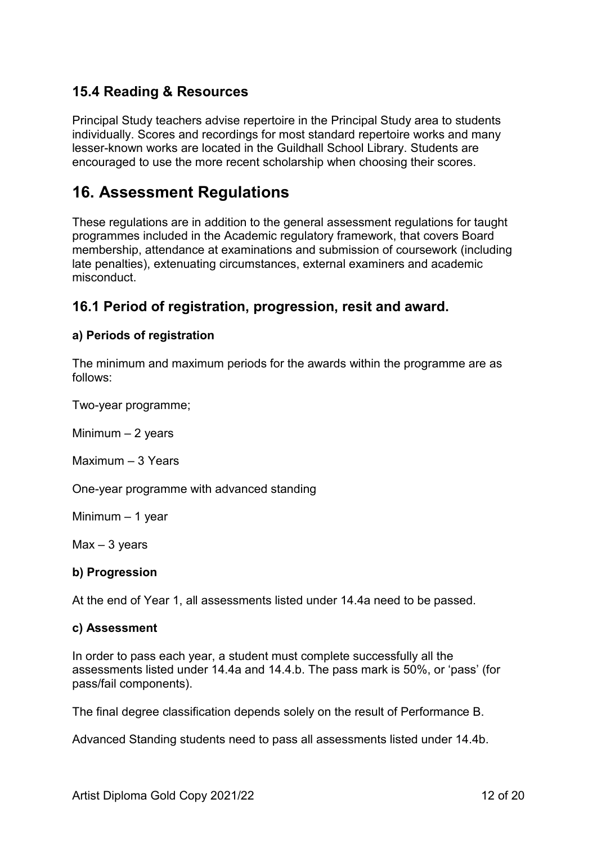# <span id="page-11-0"></span>**15.4 Reading & Resources**

Principal Study teachers advise repertoire in the Principal Study area to students individually. Scores and recordings for most standard repertoire works and many lesser-known works are located in the Guildhall School Library. Students are encouraged to use the more recent scholarship when choosing their scores.

# <span id="page-11-1"></span>**16. Assessment Regulations**

These regulations are in addition to the general assessment regulations for taught programmes included in the Academic regulatory framework, that covers Board membership, attendance at examinations and submission of coursework (including late penalties), extenuating circumstances, external examiners and academic misconduct.

#### <span id="page-11-2"></span>**16.1 Period of registration, progression, resit and award.**

#### **a) Periods of registration**

The minimum and maximum periods for the awards within the programme are as follows:

Two-year programme;

Minimum – 2 years

Maximum – 3 Years

One-year programme with advanced standing

Minimum – 1 year

 $Max - 3$  years

#### **b) Progression**

At the end of Year 1, all assessments listed under 14.4a need to be passed.

#### **c) Assessment**

In order to pass each year, a student must complete successfully all the assessments listed under 14.4a and 14.4.b. The pass mark is 50%, or 'pass' (for pass/fail components).

The final degree classification depends solely on the result of Performance B.

Advanced Standing students need to pass all assessments listed under 14.4b.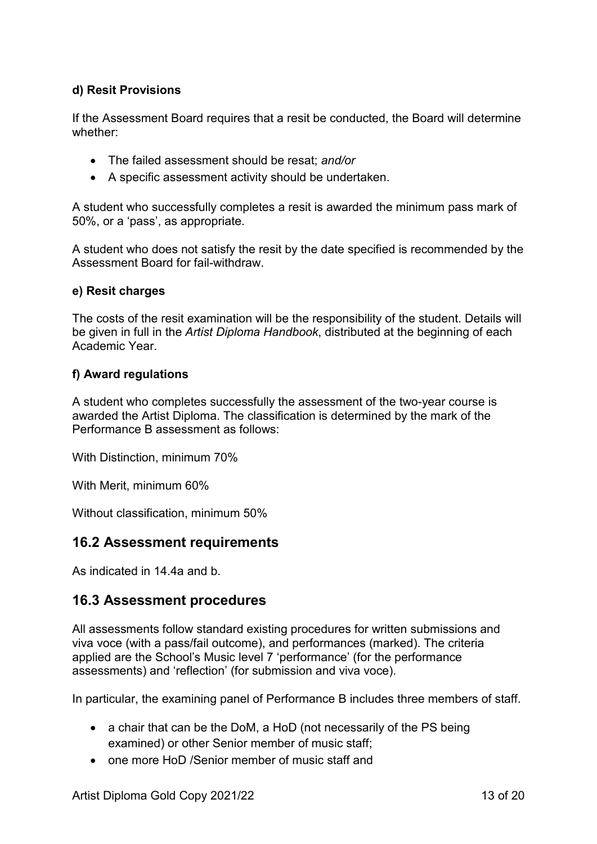#### **d) Resit Provisions**

If the Assessment Board requires that a resit be conducted, the Board will determine whether:

- The failed assessment should be resat; *and/or*
- A specific assessment activity should be undertaken.

A student who successfully completes a resit is awarded the minimum pass mark of 50%, or a 'pass', as appropriate.

A student who does not satisfy the resit by the date specified is recommended by the Assessment Board for fail-withdraw.

#### **e) Resit charges**

The costs of the resit examination will be the responsibility of the student. Details will be given in full in the *Artist Diploma Handbook*, distributed at the beginning of each Academic Year.

#### **f) Award regulations**

A student who completes successfully the assessment of the two-year course is awarded the Artist Diploma. The classification is determined by the mark of the Performance B assessment as follows:

With Distinction, minimum 70%

With Merit, minimum 60%

Without classification, minimum 50%

#### <span id="page-12-0"></span>**16.2 Assessment requirements**

As indicated in 14.4a and b.

#### <span id="page-12-1"></span>**16.3 Assessment procedures**

All assessments follow standard existing procedures for written submissions and viva voce (with a pass/fail outcome), and performances (marked). The criteria applied are the School's Music level 7 'performance' (for the performance assessments) and 'reflection' (for submission and viva voce).

In particular, the examining panel of Performance B includes three members of staff.

- a chair that can be the DoM, a HoD (not necessarily of the PS being examined) or other Senior member of music staff;
- one more HoD /Senior member of music staff and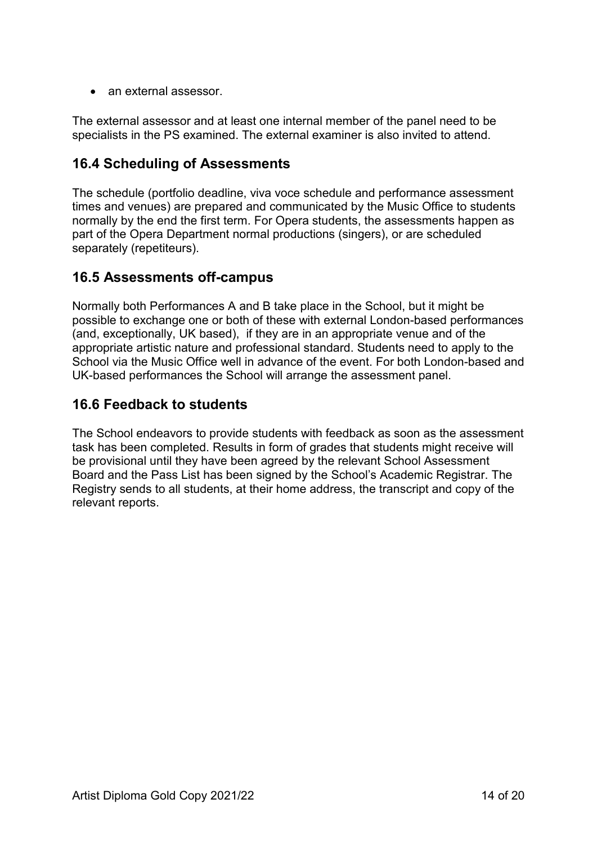• an external assessor.

The external assessor and at least one internal member of the panel need to be specialists in the PS examined. The external examiner is also invited to attend.

# <span id="page-13-0"></span>**16.4 Scheduling of Assessments**

The schedule (portfolio deadline, viva voce schedule and performance assessment times and venues) are prepared and communicated by the Music Office to students normally by the end the first term. For Opera students, the assessments happen as part of the Opera Department normal productions (singers), or are scheduled separately (repetiteurs).

#### <span id="page-13-1"></span>**16.5 Assessments off-campus**

Normally both Performances A and B take place in the School, but it might be possible to exchange one or both of these with external London-based performances (and, exceptionally, UK based), if they are in an appropriate venue and of the appropriate artistic nature and professional standard. Students need to apply to the School via the Music Office well in advance of the event. For both London-based and UK-based performances the School will arrange the assessment panel.

# <span id="page-13-2"></span>**16.6 Feedback to students**

The School endeavors to provide students with feedback as soon as the assessment task has been completed. Results in form of grades that students might receive will be provisional until they have been agreed by the relevant School Assessment Board and the Pass List has been signed by the School's Academic Registrar. The Registry sends to all students, at their home address, the transcript and copy of the relevant reports.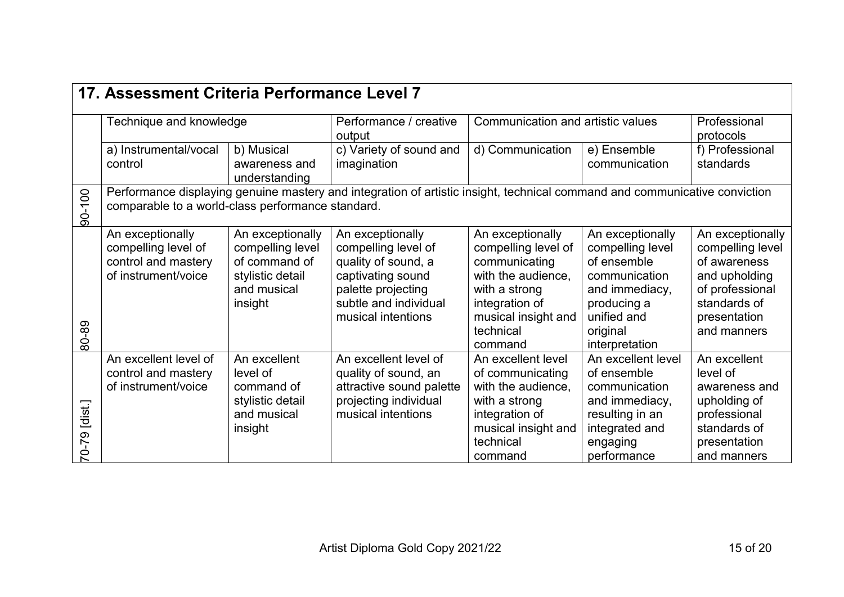<span id="page-14-0"></span>

|                          | 17. Assessment Criteria Performance Level 7                                                                                                                                     |                                                                                                     |                                                                                                                                                          |                                                                                                                                                                  |                                                                                                                                                    |                                                                                                                                         |  |  |
|--------------------------|---------------------------------------------------------------------------------------------------------------------------------------------------------------------------------|-----------------------------------------------------------------------------------------------------|----------------------------------------------------------------------------------------------------------------------------------------------------------|------------------------------------------------------------------------------------------------------------------------------------------------------------------|----------------------------------------------------------------------------------------------------------------------------------------------------|-----------------------------------------------------------------------------------------------------------------------------------------|--|--|
|                          | Technique and knowledge                                                                                                                                                         |                                                                                                     | Performance / creative<br>output                                                                                                                         |                                                                                                                                                                  | Communication and artistic values                                                                                                                  |                                                                                                                                         |  |  |
|                          | a) Instrumental/vocal                                                                                                                                                           | b) Musical                                                                                          | c) Variety of sound and                                                                                                                                  | d) Communication                                                                                                                                                 | e) Ensemble                                                                                                                                        | f) Professional                                                                                                                         |  |  |
|                          | control                                                                                                                                                                         | awareness and<br>understanding                                                                      | imagination                                                                                                                                              |                                                                                                                                                                  | communication                                                                                                                                      | standards                                                                                                                               |  |  |
| 90-100                   | Performance displaying genuine mastery and integration of artistic insight, technical command and communicative conviction<br>comparable to a world-class performance standard. |                                                                                                     |                                                                                                                                                          |                                                                                                                                                                  |                                                                                                                                                    |                                                                                                                                         |  |  |
| 80-89                    | An exceptionally<br>compelling level of<br>control and mastery<br>of instrument/voice                                                                                           | An exceptionally<br>compelling level<br>of command of<br>stylistic detail<br>and musical<br>insight | An exceptionally<br>compelling level of<br>quality of sound, a<br>captivating sound<br>palette projecting<br>subtle and individual<br>musical intentions | An exceptionally<br>compelling level of<br>communicating<br>with the audience,<br>with a strong<br>integration of<br>musical insight and<br>technical<br>command | An exceptionally<br>compelling level<br>of ensemble<br>communication<br>and immediacy,<br>producing a<br>unified and<br>original<br>interpretation | An exceptionally<br>compelling level<br>of awareness<br>and upholding<br>of professional<br>standards of<br>presentation<br>and manners |  |  |
|                          | An excellent level of<br>control and mastery<br>of instrument/voice                                                                                                             | An excellent<br>level of<br>command of                                                              | An excellent level of<br>quality of sound, an<br>attractive sound palette                                                                                | An excellent level<br>of communicating<br>with the audience,                                                                                                     | An excellent level<br>of ensemble<br>communication                                                                                                 | An excellent<br>level of<br>awareness and                                                                                               |  |  |
|                          |                                                                                                                                                                                 | stylistic detail                                                                                    | projecting individual                                                                                                                                    | with a strong                                                                                                                                                    | and immediacy,                                                                                                                                     | upholding of                                                                                                                            |  |  |
| [dist.]                  |                                                                                                                                                                                 | and musical                                                                                         | musical intentions                                                                                                                                       | integration of                                                                                                                                                   | resulting in an                                                                                                                                    | professional                                                                                                                            |  |  |
|                          |                                                                                                                                                                                 | insight                                                                                             |                                                                                                                                                          | musical insight and                                                                                                                                              | integrated and                                                                                                                                     | standards of                                                                                                                            |  |  |
| $62-0$                   |                                                                                                                                                                                 |                                                                                                     |                                                                                                                                                          | technical                                                                                                                                                        | engaging                                                                                                                                           | presentation                                                                                                                            |  |  |
| $\overline{\phantom{0}}$ |                                                                                                                                                                                 |                                                                                                     |                                                                                                                                                          | command                                                                                                                                                          | performance                                                                                                                                        | and manners                                                                                                                             |  |  |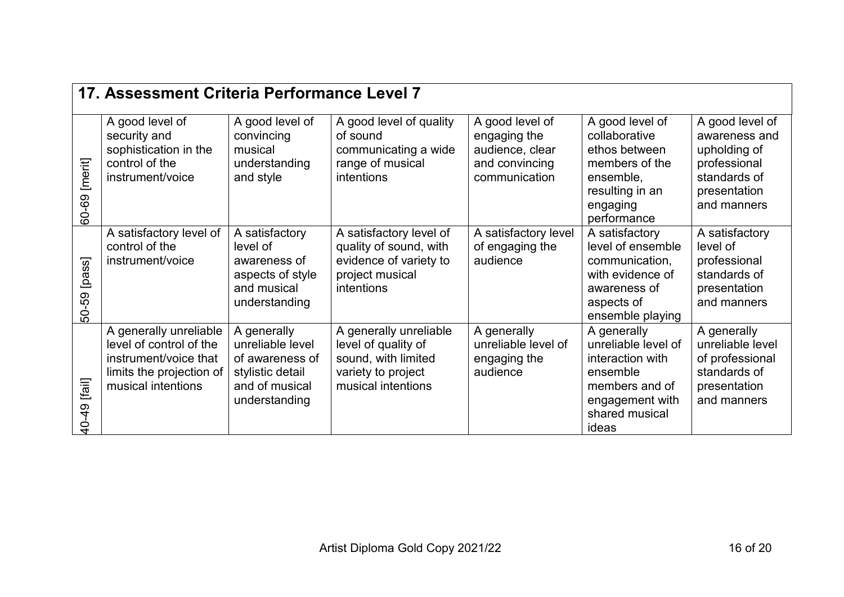|                  | 17. Assessment Criteria Performance Level 7                                                                                  |                                                                                                           |                                                                                                                  |                                                                                       |                                                                                                                                    |                                                                                                                 |  |  |
|------------------|------------------------------------------------------------------------------------------------------------------------------|-----------------------------------------------------------------------------------------------------------|------------------------------------------------------------------------------------------------------------------|---------------------------------------------------------------------------------------|------------------------------------------------------------------------------------------------------------------------------------|-----------------------------------------------------------------------------------------------------------------|--|--|
| [merit]<br>60-69 | A good level of<br>security and<br>sophistication in the<br>control of the<br>instrument/voice                               | A good level of<br>convincing<br>musical<br>understanding<br>and style                                    | A good level of quality<br>of sound<br>communicating a wide<br>range of musical<br>intentions                    | A good level of<br>engaging the<br>audience, clear<br>and convincing<br>communication | A good level of<br>collaborative<br>ethos between<br>members of the<br>ensemble,<br>resulting in an<br>engaging<br>performance     | A good level of<br>awareness and<br>upholding of<br>professional<br>standards of<br>presentation<br>and manners |  |  |
| [pass]<br>50-59  | A satisfactory level of<br>control of the<br>instrument/voice                                                                | A satisfactory<br>level of<br>awareness of<br>aspects of style<br>and musical<br>understanding            | A satisfactory level of<br>quality of sound, with<br>evidence of variety to<br>project musical<br>intentions     | A satisfactory level<br>of engaging the<br>audience                                   | A satisfactory<br>level of ensemble<br>communication,<br>with evidence of<br>awareness of<br>aspects of<br>ensemble playing        | A satisfactory<br>level of<br>professional<br>standards of<br>presentation<br>and manners                       |  |  |
| [fail]<br>40-49  | A generally unreliable<br>level of control of the<br>instrument/voice that<br>limits the projection of<br>musical intentions | A generally<br>unreliable level<br>of awareness of<br>stylistic detail<br>and of musical<br>understanding | A generally unreliable<br>level of quality of<br>sound, with limited<br>variety to project<br>musical intentions | A generally<br>unreliable level of<br>engaging the<br>audience                        | A generally<br>unreliable level of<br>interaction with<br>ensemble<br>members and of<br>engagement with<br>shared musical<br>ideas | A generally<br>unreliable level<br>of professional<br>standards of<br>presentation<br>and manners               |  |  |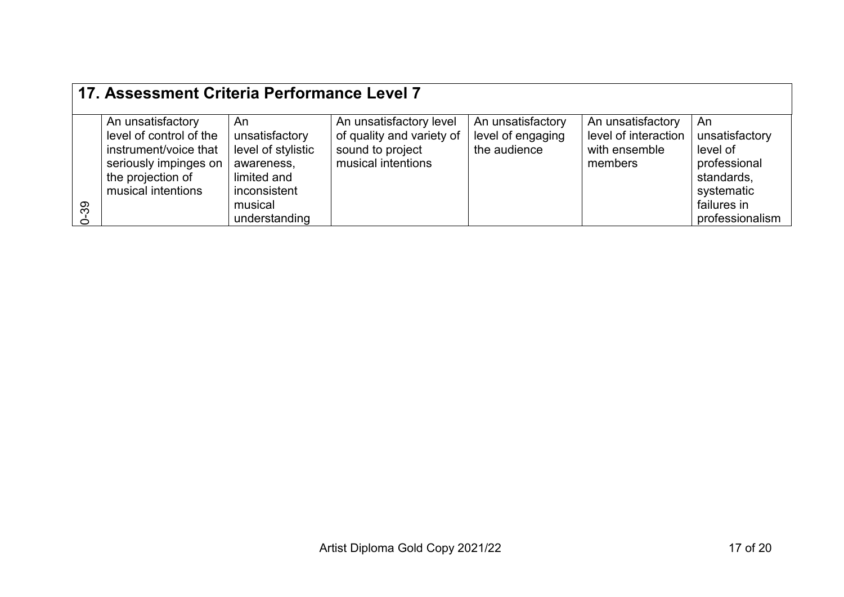|         | 17. Assessment Criteria Performance Level 7                                                                                               |                                                                                                                     |                                                                                                |                                                        |                                                                       |                                                                                                                |  |  |
|---------|-------------------------------------------------------------------------------------------------------------------------------------------|---------------------------------------------------------------------------------------------------------------------|------------------------------------------------------------------------------------------------|--------------------------------------------------------|-----------------------------------------------------------------------|----------------------------------------------------------------------------------------------------------------|--|--|
| 39<br>Ò | An unsatisfactory<br>level of control of the<br>instrument/voice that<br>seriously impinges on<br>the projection of<br>musical intentions | An<br>unsatisfactory<br>level of stylistic<br>awareness,<br>limited and<br>inconsistent<br>musical<br>understanding | An unsatisfactory level<br>of quality and variety of<br>sound to project<br>musical intentions | An unsatisfactory<br>level of engaging<br>the audience | An unsatisfactory<br>level of interaction<br>with ensemble<br>members | An<br>unsatisfactory<br>level of<br>professional<br>standards,<br>systematic<br>failures in<br>professionalism |  |  |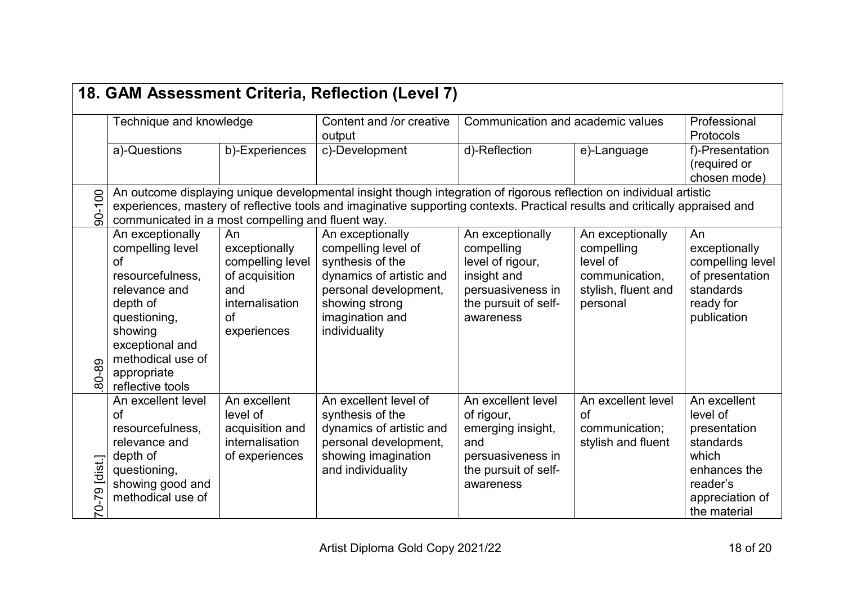<span id="page-17-0"></span>

|                         | 18. GAM Assessment Criteria, Reflection (Level 7)                                                                                                                                                 |                                                                                                          |                                                                                                                                                                                                                                                     |                                                                                                                             |                                                                                                 |                                                                                                                               |  |  |
|-------------------------|---------------------------------------------------------------------------------------------------------------------------------------------------------------------------------------------------|----------------------------------------------------------------------------------------------------------|-----------------------------------------------------------------------------------------------------------------------------------------------------------------------------------------------------------------------------------------------------|-----------------------------------------------------------------------------------------------------------------------------|-------------------------------------------------------------------------------------------------|-------------------------------------------------------------------------------------------------------------------------------|--|--|
|                         | Technique and knowledge                                                                                                                                                                           |                                                                                                          | Content and /or creative<br>output                                                                                                                                                                                                                  | Communication and academic values                                                                                           | Professional<br>Protocols                                                                       |                                                                                                                               |  |  |
|                         | a)-Questions                                                                                                                                                                                      | b)-Experiences                                                                                           | c)-Development                                                                                                                                                                                                                                      | d)-Reflection                                                                                                               | e)-Language                                                                                     | f)-Presentation<br>(required or<br>chosen mode)                                                                               |  |  |
| 90-100                  | communicated in a most compelling and fluent way.                                                                                                                                                 |                                                                                                          | An outcome displaying unique developmental insight though integration of rigorous reflection on individual artistic<br>experiences, mastery of reflective tools and imaginative supporting contexts. Practical results and critically appraised and |                                                                                                                             |                                                                                                 |                                                                                                                               |  |  |
| 80-89                   | An exceptionally<br>compelling level<br>of<br>resourcefulness,<br>relevance and<br>depth of<br>questioning,<br>showing<br>exceptional and<br>methodical use of<br>appropriate<br>reflective tools | An<br>exceptionally<br>compelling level<br>of acquisition<br>and<br>internalisation<br>of<br>experiences | An exceptionally<br>compelling level of<br>synthesis of the<br>dynamics of artistic and<br>personal development,<br>showing strong<br>imagination and<br>individuality                                                                              | An exceptionally<br>compelling<br>level of rigour,<br>insight and<br>persuasiveness in<br>the pursuit of self-<br>awareness | An exceptionally<br>compelling<br>level of<br>communication,<br>stylish, fluent and<br>personal | An<br>exceptionally<br>compelling level<br>of presentation<br>standards<br>ready for<br>publication                           |  |  |
| [dist.]<br>တ<br>$7-0-7$ | An excellent level<br>of<br>resourcefulness,<br>relevance and<br>depth of<br>questioning,<br>showing good and<br>methodical use of                                                                | An excellent<br>level of<br>acquisition and<br><i>internalisation</i><br>of experiences                  | An excellent level of<br>synthesis of the<br>dynamics of artistic and<br>personal development,<br>showing imagination<br>and individuality                                                                                                          | An excellent level<br>of rigour,<br>emerging insight,<br>and<br>persuasiveness in<br>the pursuit of self-<br>awareness      | An excellent level<br>of<br>communication;<br>stylish and fluent                                | An excellent<br>level of<br>presentation<br>standards<br>which<br>enhances the<br>reader's<br>appreciation of<br>the material |  |  |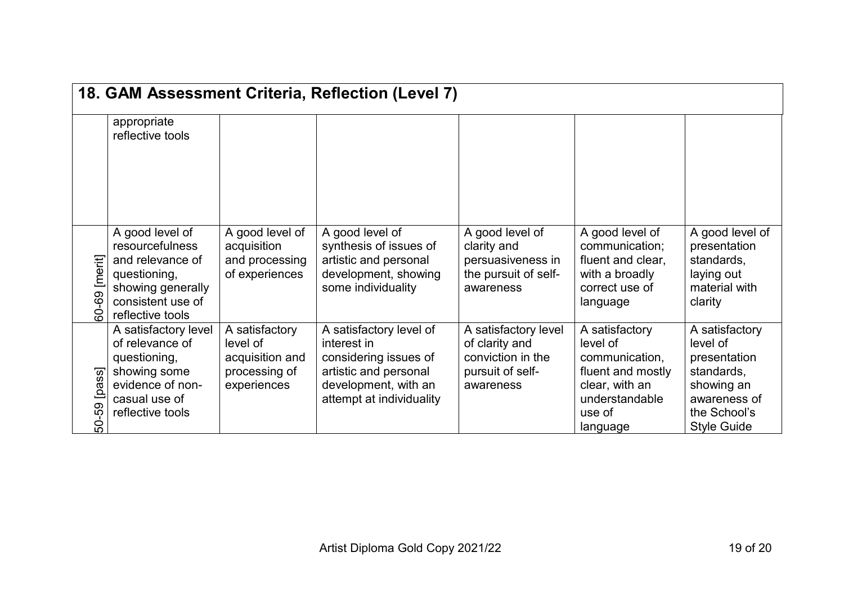|                     |                                                                                                                                             |                                                                               | 18. GAM Assessment Criteria, Reflection (Level 7)                                                                                            |                                                                                              |                                                                                                                             |                                                                                                                              |
|---------------------|---------------------------------------------------------------------------------------------------------------------------------------------|-------------------------------------------------------------------------------|----------------------------------------------------------------------------------------------------------------------------------------------|----------------------------------------------------------------------------------------------|-----------------------------------------------------------------------------------------------------------------------------|------------------------------------------------------------------------------------------------------------------------------|
|                     | appropriate<br>reflective tools                                                                                                             |                                                                               |                                                                                                                                              |                                                                                              |                                                                                                                             |                                                                                                                              |
| [merit]<br>69<br>Ġ. | A good level of<br><b>resourcefulness</b><br>and relevance of<br>questioning,<br>showing generally<br>consistent use of<br>reflective tools | A good level of<br>acquisition<br>and processing<br>of experiences            | A good level of<br>synthesis of issues of<br>artistic and personal<br>development, showing<br>some individuality                             | A good level of<br>clarity and<br>persuasiveness in<br>the pursuit of self-<br>awareness     | A good level of<br>communication;<br>fluent and clear,<br>with a broadly<br>correct use of<br>language                      | A good level of<br>presentation<br>standards,<br>laying out<br>material with<br>clarity                                      |
| [pass]<br>-59<br>Ś. | A satisfactory level<br>of relevance of<br>questioning,<br>showing some<br>evidence of non-<br>casual use of<br>reflective tools            | A satisfactory<br>level of<br>acquisition and<br>processing of<br>experiences | A satisfactory level of<br>interest in<br>considering issues of<br>artistic and personal<br>development, with an<br>attempt at individuality | A satisfactory level<br>of clarity and<br>conviction in the<br>pursuit of self-<br>awareness | A satisfactory<br>level of<br>communication,<br>fluent and mostly<br>clear, with an<br>understandable<br>use of<br>language | A satisfactory<br>level of<br>presentation<br>standards,<br>showing an<br>awareness of<br>the School's<br><b>Style Guide</b> |